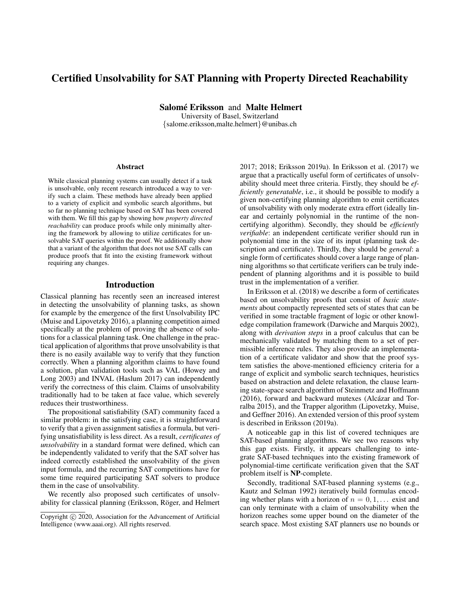# Certified Unsolvability for SAT Planning with Property Directed Reachability

Salomé Eriksson and Malte Helmert

University of Basel, Switzerland {salome.eriksson,malte.helmert}@unibas.ch

#### Abstract

While classical planning systems can usually detect if a task is unsolvable, only recent research introduced a way to verify such a claim. These methods have already been applied to a variety of explicit and symbolic search algorithms, but so far no planning technique based on SAT has been covered with them. We fill this gap by showing how *property directed reachability* can produce proofs while only minimally altering the framework by allowing to utilize certificates for unsolvable SAT queries within the proof. We additionally show that a variant of the algorithm that does not use SAT calls can produce proofs that fit into the existing framework without requiring any changes.

### Introduction

Classical planning has recently seen an increased interest in detecting the unsolvability of planning tasks, as shown for example by the emergence of the first Unsolvability IPC (Muise and Lipovetzky 2016), a planning competition aimed specifically at the problem of proving the absence of solutions for a classical planning task. One challenge in the practical application of algorithms that prove unsolvability is that there is no easily available way to verify that they function correctly. When a planning algorithm claims to have found a solution, plan validation tools such as VAL (Howey and Long 2003) and INVAL (Haslum 2017) can independently verify the correctness of this claim. Claims of unsolvability traditionally had to be taken at face value, which severely reduces their trustworthiness.

The propositional satisfiability (SAT) community faced a similar problem: in the satisfying case, it is straightforward to verify that a given assignment satisfies a formula, but verifying unsatisfiability is less direct. As a result, *certificates of unsolvability* in a standard format were defined, which can be independently validated to verify that the SAT solver has indeed correctly established the unsolvability of the given input formula, and the recurring SAT competitions have for some time required participating SAT solvers to produce them in the case of unsolvability.

We recently also proposed such certificates of unsolvability for classical planning (Eriksson, Röger, and Helmert 2017; 2018; Eriksson 2019a). In Eriksson et al. (2017) we argue that a practically useful form of certificates of unsolvability should meet three criteria. Firstly, they should be *efficiently generatable*, i.e., it should be possible to modify a given non-certifying planning algorithm to emit certificates of unsolvability with only moderate extra effort (ideally linear and certainly polynomial in the runtime of the noncertifying algorithm). Secondly, they should be *efficiently verifiable*: an independent certificate verifier should run in polynomial time in the size of its input (planning task description and certificate). Thirdly, they should be *general*: a single form of certificates should cover a large range of planning algorithms so that certificate verifiers can be truly independent of planning algorithms and it is possible to build trust in the implementation of a verifier.

In Eriksson et al. (2018) we describe a form of certificates based on unsolvability proofs that consist of *basic statements* about compactly represented sets of states that can be verified in some tractable fragment of logic or other knowledge compilation framework (Darwiche and Marquis 2002), along with *derivation steps* in a proof calculus that can be mechanically validated by matching them to a set of permissible inference rules. They also provide an implementation of a certificate validator and show that the proof system satisfies the above-mentioned efficiency criteria for a range of explicit and symbolic search techniques, heuristics based on abstraction and delete relaxation, the clause learning state-space search algorithm of Steinmetz and Hoffmann  $(2016)$ , forward and backward mutexes (Alcázar and Torralba 2015), and the Trapper algorithm (Lipovetzky, Muise, and Geffner 2016). An extended version of this proof system is described in Eriksson (2019a).

A noticeable gap in this list of covered techniques are SAT-based planning algorithms. We see two reasons why this gap exists. Firstly, it appears challenging to integrate SAT-based techniques into the existing framework of polynomial-time certificate verification given that the SAT problem itself is NP-complete.

Secondly, traditional SAT-based planning systems (e.g., Kautz and Selman 1992) iteratively build formulas encoding whether plans with a horizon of  $n = 0, 1, \ldots$  exist and can only terminate with a claim of unsolvability when the horizon reaches some upper bound on the diameter of the search space. Most existing SAT planners use no bounds or

Copyright (c) 2020, Association for the Advancement of Artificial Intelligence (www.aaai.org). All rights reserved.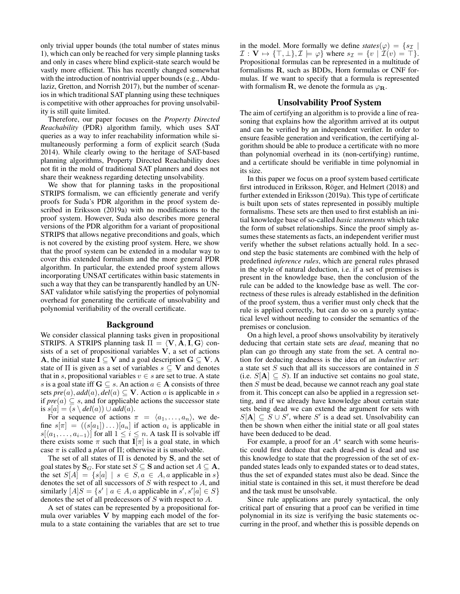only trivial upper bounds (the total number of states minus 1), which can only be reached for very simple planning tasks and only in cases where blind explicit-state search would be vastly more efficient. This has recently changed somewhat with the introduction of nontrivial upper bounds (e.g., Abdulaziz, Gretton, and Norrish 2017), but the number of scenarios in which traditional SAT planning using these techniques is competitive with other approaches for proving unsolvability is still quite limited.

Therefore, our paper focuses on the *Property Directed Reachability* (PDR) algorithm family, which uses SAT queries as a way to infer reachability information while simultaneously performing a form of explicit search (Suda 2014). While clearly owing to the heritage of SAT-based planning algorithms, Property Directed Reachability does not fit in the mold of traditional SAT planners and does not share their weakness regarding detecting unsolvability.

We show that for planning tasks in the propositional STRIPS formalism, we can efficiently generate and verify proofs for Suda's PDR algorithm in the proof system described in Eriksson (2019a) with no modifications to the proof system. However, Suda also describes more general versions of the PDR algorithm for a variant of propositional STRIPS that allows negative preconditions and goals, which is not covered by the existing proof system. Here, we show that the proof system can be extended in a modular way to cover this extended formalism and the more general PDR algorithm. In particular, the extended proof system allows incorporating UNSAT certificates within basic statements in such a way that they can be transparently handled by an UN-SAT validator while satisfying the properties of polynomial overhead for generating the certificate of unsolvability and polynomial verifiability of the overall certificate.

#### Background

We consider classical planning tasks given in propositional STRIPS. A STRIPS planning task  $\Pi = \langle V, A, I, G \rangle$  consists of a set of propositional variables  $V$ , a set of actions A, the initial state  $I \subseteq V$  and a goal description  $G \subseteq V$ . A state of  $\Pi$  is given as a set of variables  $s \subseteq V$  and denotes that in s, propositional variables  $v \in s$  are set to true. A state s is a goal state iff  $G \subseteq s$ . An action  $a \in A$  consists of three sets  $pre(a)$ ,  $add(a)$ ,  $del(a) \subseteq V$ . Action a is applicable in s if  $pre(a) \subseteq s$ , and for applicable actions the successor state is  $s[a] = (s \ \delta d(a)) \cup add(a).$ 

For a sequence of actions  $\pi = \langle a_1, \ldots, a_n \rangle$ , we define  $s[\pi] = ((s[a_1]) \dots) [a_n]$  if action  $a_i$  is applicable in  $s[\langle a_1, \ldots, a_{i-1}\rangle]$  for all  $1 \leq i \leq n$ . A task  $\Pi$  is solvable iff there exists some  $\pi$  such that  $I[\pi]$  is a goal state, in which case  $\pi$  is called a *plan* of  $\Pi$ ; otherwise it is unsolvable.

The set of all states of  $\Pi$  is denoted by  $S$ , and the set of goal states by  $\mathbf{S}_G.$  For state set  $S \subseteq \mathbf{S}$  and action set  $A \subseteq \mathbf{A}$ , the set  $S[A] = \{s[a] \mid s \in S, a \in A, a$  applicable in  $s\}$ denotes the set of all successors of S with respect to A, and similarly  $[A]S = \{s' \mid a \in A, a \text{ applicable in } s', s'[a] \in S\}$ denotes the set of all predecessors of S with respect to A.

A set of states can be represented by a propositional formula over variables V by mapping each model of the formula to a state containing the variables that are set to true in the model. More formally we define  $states(\varphi) = \{s_{\mathcal{I}} | \varphi\}$  $\mathcal{I}: \mathbf{V} \mapsto {\{\top, \bot\}, \mathcal{I} \models \varphi}$  where  $s_{\mathcal{I}} = \{v \mid \mathcal{I}(v) = \top\}.$ Propositional formulas can be represented in a multitude of formalisms R, such as BDDs, Horn formulas or CNF formulas. If we want to specify that a formula is represented with formalism **R**, we denote the formula as  $\varphi_R$ .

#### Unsolvability Proof System

The aim of certifying an algorithm is to provide a line of reasoning that explains how the algorithm arrived at its output and can be verified by an independent verifier. In order to ensure feasible generation and verification, the certifying algorithm should be able to produce a certificate with no more than polynomial overhead in its (non-certifying) runtime, and a certificate should be verifiable in time polynomial in its size.

In this paper we focus on a proof system based certificate first introduced in Eriksson, Röger, and Helmert (2018) and further extended in Eriksson (2019a). This type of certificate is built upon sets of states represented in possibly multiple formalisms. These sets are then used to first establish an initial knowledge base of so-called *basic statements* which take the form of subset relationships. Since the proof simply assumes these statements as facts, an independent verifier must verify whether the subset relations actually hold. In a second step the basic statements are combined with the help of predefined *inference rules*, which are general rules phrased in the style of natural deduction, i.e. if a set of premises is present in the knowledge base, then the conclusion of the rule can be added to the knowledge base as well. The correctness of these rules is already established in the definition of the proof system, thus a verifier must only check that the rule is applied correctly, but can do so on a purely syntactical level without needing to consider the semantics of the premises or conclusion.

On a high level, a proof shows unsolvability by iteratively deducing that certain state sets are *dead*, meaning that no plan can go through any state from the set. A central notion for deducing deadness is the idea of an *inductive set*: a state set S such that all its successors are contained in S (i.e.  $S[A] \subseteq S$ ). If an inductive set contains no goal state, then S must be dead, because we cannot reach any goal state from it. This concept can also be applied in a regression setting, and if we already have knowledge about certain state sets being dead we can extend the argument for sets with  $S[A] \subseteq S \cup S'$ , where S' is a dead set. Unsolvability can then be shown when either the initial state or all goal states have been deduced to be dead.

For example, a proof for an  $A^*$  search with some heuristic could first deduce that each dead-end is dead and use this knowledge to state that the progression of the set of expanded states leads only to expanded states or to dead states, thus the set of expanded states must also be dead. Since the initial state is contained in this set, it must therefore be dead and the task must be unsolvable.

Since rule applications are purely syntactical, the only critical part of ensuring that a proof can be verified in time polynomial in its size is verifying the basic statements occurring in the proof, and whether this is possible depends on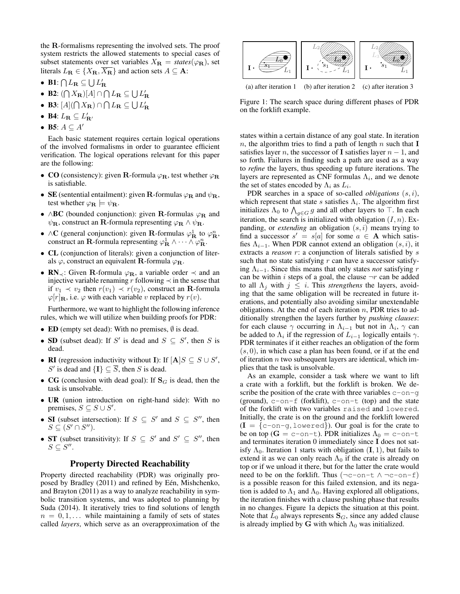the R-formalisms representing the involved sets. The proof system restricts the allowed statements to special cases of subset statements over set variables  $X_{\mathbf{R}} = \text{states}(\varphi_{\mathbf{R}})$ , set literals  $L_{\mathbf{R}} \in \{X_{\mathbf{R}}, \overline{X_{\mathbf{R}}} \}$  and action sets  $A \subseteq \mathbf{A}$ :

- B1:  $\bigcap L_{\mathbf{R}} \subseteq \bigcup L_{\mathbf{R}}'$
- B2:  $(\bigcap X_{\mathbf{R}})[A] \cap \bigcap L_{\mathbf{R}} \subseteq \bigcup L_{\mathbf{R}}'$
- B3:  $[A](\bigcap X_{\mathbf{R}}) \cap \bigcap L_{\mathbf{R}} \subseteq \bigcup L_{\mathbf{R}}'$
- B4:  $L_{\mathbf{R}} \subseteq L'_{\mathbf{R'}}$
- B5:  $A \subseteq A'$

Each basic statement requires certain logical operations of the involved formalisms in order to guarantee efficient verification. The logical operations relevant for this paper are the following:

- CO (consistency): given R-formula  $\varphi_R$ , test whether  $\varphi_R$ is satisfiable.
- SE (sentential entailment): given R-formulas  $\varphi_R$  and  $\psi_R$ , test whether  $\varphi_{\mathbf{R}} \models \psi_{\mathbf{R}}$ .
- ∧BC (bounded conjunction): given R-formulas  $\varphi_R$  and  $\psi_{\mathbf{R}}$ , construct an **R**-formula representing  $\varphi_{\mathbf{R}} \wedge \psi_{\mathbf{R}}$ .
- ∧C (general conjunction): given R-formulas  $\varphi_R^1$  to  $\varphi_R^n$ , construct an **R**-formula representing  $\varphi^1_{\mathbf{R}} \wedge \cdots \wedge \varphi^n_{\mathbf{R}}$ .
- CL (conjunction of literals): given a conjunction of literals  $\varphi$ , construct an equivalent **R**-formula  $\varphi_R$ .
- $\mathbb{R}N_{\prec}$ : Given R-formula  $\varphi_{\mathbb{R}}$ , a variable order  $\prec$  and an injective variable renaming r following  $\prec$  in the sense that if  $v_1 \prec v_2$  then  $r(v_1) \prec r(v_2)$ , construct an **R**-formula  $\varphi[r]_R$ , i.e.  $\varphi$  with each variable v replaced by  $r(v)$ .

Furthermore, we want to highlight the following inference rules, which we will utilize when building proofs for PDR:

- ED (empty set dead): With no premises,  $\emptyset$  is dead.
- SD (subset dead): If S' is dead and  $S \subseteq S'$ , then S is dead.
- **RI** (regression inductivity without **I**): If  $[A]S \subseteq S \cup S'$ , S' is dead and  $\{\mathbf I\} \subseteq \overline{S}$ , then S is dead.
- CG (conclusion with dead goal): If  $S_G$  is dead, then the task is unsolvable.
- UR (union introduction on right-hand side): With no premises,  $S \subseteq S \cup S'$ .
- SI (subset intersection): If  $S \subseteq S'$  and  $S \subseteq S''$ , then  $S \subseteq (S' \cap S'').$
- ST (subset transitivity): If  $S \subseteq S'$  and  $S' \subseteq S''$ , then  $S \subseteq S''$ .

## Property Directed Reachability

Property directed reachability (PDR) was originally proposed by Bradley (2011) and refined by Eén, Mishchenko, and Brayton (2011) as a way to analyze reachability in symbolic transition systems, and was adopted to planning by Suda (2014). It iteratively tries to find solutions of length  $n = 0, 1, \ldots$  while maintaining a family of sets of states called *layers*, which serve as an overapproximation of the



Figure 1: The search space during different phases of PDR on the forklift example.

states within a certain distance of any goal state. In iteration n, the algorithm tries to find a path of length n such that  $\mathbf I$ satisfies layer n, the successor of I satisfies layer  $n - 1$ , and so forth. Failures in finding such a path are used as a way to *refine* the layers, thus speeding up future iterations. The layers are represented as CNF formulas  $\Lambda_i$ , and we denote the set of states encoded by  $\Lambda_i$  as  $L_i$ .

PDR searches in a space of so-called *obligations* (s, i), which represent that state s satisfies  $\Lambda_i$ . The algorithm first initializes  $\Lambda_0$  to  $\bigwedge_{g\in G} g$  and all other layers to  $\top$ . In each iteration, the search is initialized with obligation  $(I, n)$ . Expanding, or *extending* an obligation  $(s, i)$  means trying to find a successor  $s' = s[a]$  for some  $a \in A$  which satisfies  $\Lambda_{i-1}$ . When PDR cannot extend an obligation  $(s, i)$ , it extracts a *reason* r: a conjunction of literals satisfied by s such that no state satisfying  $r$  can have a successor satisfying  $\Lambda_{i-1}$ . Since this means that only states *not* satisfying r can be within i steps of a goal, the clause  $\neg r$  can be added to all  $\Lambda_j$  with  $j \leq i$ . This *strengthens* the layers, avoiding that the same obligation will be recreated in future iterations, and potentially also avoiding similar unextendable obligations. At the end of each iteration  $n$ , PDR tries to additionally strengthen the layers further by *pushing clauses*: for each clause  $\gamma$  occurring in  $\Lambda_{i-1}$  but not in  $\Lambda_i$ ,  $\gamma$  can be added to  $\Lambda_i$  if the regression of  $L_{i-1}$  logically entails  $\gamma$ . PDR terminates if it either reaches an obligation of the form  $(s, 0)$ , in which case a plan has been found, or if at the end of iteration  $n$  two subsequent layers are identical, which implies that the task is unsolvable.

As an example, consider a task where we want to lift a crate with a forklift, but the forklift is broken. We describe the position of the crate with three variables  $c$ -on-g (ground),  $c$ -on-f (forklift),  $c$ -on-t (top) and the state of the forklift with two variables raised and lowered. Initially, the crate is on the ground and the forklift lowered  $(I = \{c$ -on-q, lowered $\})$ . Our goal is for the crate to be on top ( $G = c$ -on-t). PDR initializes  $\Lambda_0 = c$ -on-t and terminates iteration 0 immediately since I does not satisfy  $\Lambda_0$ . Iteration 1 starts with obligation  $(I, 1)$ , but fails to extend it as we can only reach  $\Lambda_0$  if the crate is already on top or if we unload it there, but for the latter the crate would need to be on the forklift. Thus  $(\neg c$ -on-t  $\land \neg c$ -on-f) is a possible reason for this failed extension, and its negation is added to  $\Lambda_1$  and  $\Lambda_0$ . Having explored all obligations, the iteration finishes with a clause pushing phase that results in no changes. Figure 1a depicts the situation at this point. Note that  $L_0$  always represents  $S_G$ , since any added clause is already implied by G with which  $\Lambda_0$  was initialized.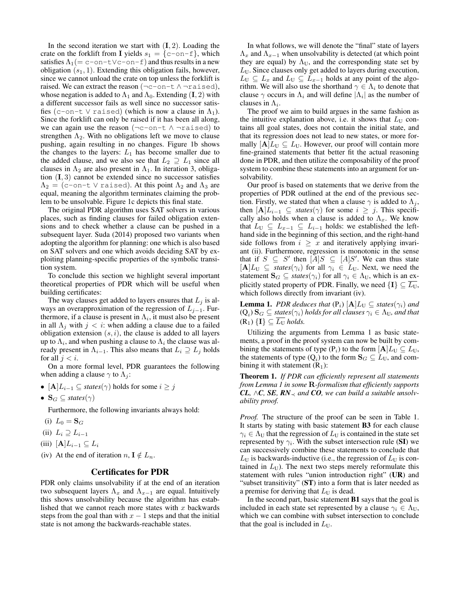In the second iteration we start with  $(I, 2)$ . Loading the crate on the forklift from I yields  $s_1 = \{c$ -on-f}, which satisfies  $\Lambda_1$ (= c-on-t∨c-on-f) and thus results in a new obligation  $(s_1, 1)$ . Extending this obligation fails, however, since we cannot unload the crate on top unless the forklift is raised. We can extract the reason  $(\neg c$ -on-t  $\land \neg$ raised), whose negation is added to  $\Lambda_1$  and  $\Lambda_0$ . Extending (I, 2) with a different successor fails as well since no successor satisfies (c-on-t  $\vee$  raised) (which is now a clause in  $\Lambda_1$ ). Since the forklift can only be raised if it has been all along, we can again use the reason (¬c-on-t ∧ ¬raised) to strengthen  $\Lambda_2$ . With no obligations left we move to clause pushing, again resulting in no changes. Figure 1b shows the changes to the layers:  $L_1$  has become smaller due to the added clause, and we also see that  $L_2 \supseteq L_1$  since all clauses in  $\Lambda_2$  are also present in  $\Lambda_1$ . In iteration 3, obligation  $(I, 3)$  cannot be extended since no successor satisfies  $\Lambda_2 =$  (c-on-t V raised). At this point  $\Lambda_2$  and  $\Lambda_3$  are equal, meaning the algorithm terminates claiming the problem to be unsolvable. Figure 1c depicts this final state.

The original PDR algorithm uses SAT solvers in various places, such as finding clauses for failed obligation extensions and to check whether a clause can be pushed in a subsequent layer. Suda (2014) proposed two variants when adopting the algorithm for planning: one which is also based on SAT solvers and one which avoids deciding SAT by exploiting planning-specific properties of the symbolic transition system.

To conclude this section we highlight several important theoretical properties of PDR which will be useful when building certificates:

The way clauses get added to layers ensures that  $L_i$  is always an overapproximation of the regression of  $L_{j-1}$ . Furthermore, if a clause is present in  $\Lambda_i$ , it must also be present in all  $\Lambda_i$  with  $j < i$ : when adding a clause due to a failed obligation extension  $(s, i)$ , the clause is added to all layers up to  $\Lambda_i$ , and when pushing a clause to  $\Lambda_i$  the clause was already present in  $\Lambda_{i-1}$ . This also means that  $L_i \supseteq L_j$  holds for all  $j < i$ .

On a more formal level, PDR guarantees the following when adding a clause  $\gamma$  to  $\Lambda_i$ :

- $[A]L_{i-1} \subseteq \text{states}(\gamma)$  holds for some  $i \geq j$
- $\mathbf{S}_G \subseteq \text{states}(\gamma)$

Furthermore, the following invariants always hold:

- (i)  $L_0 = S_G$
- (ii)  $L_i \supseteq L_{i-1}$
- (iii)  $[\mathbf{A}]L_{i-1} \subseteq L_i$
- (iv) At the end of iteration  $n, \mathbf{I} \notin L_n$ .

## Certificates for PDR

PDR only claims unsolvability if at the end of an iteration two subsequent layers  $\Lambda_x$  and  $\Lambda_{x-1}$  are equal. Intuitively this shows unsolvability because the algorithm has established that we cannot reach more states with  $x$  backwards steps from the goal than with  $x - 1$  steps and that the initial state is not among the backwards-reachable states.

In what follows, we will denote the "final" state of layers  $\Lambda_x$  and  $\Lambda_{x-1}$  when unsolvability is detected (at which point they are equal) by  $\Lambda_{\text{U}}$ , and the corresponding state set by  $L_{\text{U}}$ . Since clauses only get added to layers during execution,  $L_U \subseteq L_x$  and  $L_U \subseteq L_{x-1}$  holds at any point of the algorithm. We will also use the shorthand  $\gamma \in \Lambda_i$  to denote that clause  $\gamma$  occurs in  $\Lambda_i$  and will define  $|\Lambda_i|$  as the number of clauses in  $\Lambda_i$ .

The proof we aim to build argues in the same fashion as the intuitive explanation above, i.e. it shows that  $L_U$  contains all goal states, does not contain the initial state, and that its regression does not lead to new states, or more formally  $[A]L_U \subseteq L_U$ . However, our proof will contain more fine-grained statements that better fit the actual reasoning done in PDR, and then utilize the composability of the proof system to combine these statements into an argument for unsolvability.

Our proof is based on statements that we derive from the properties of PDR outlined at the end of the previous section. Firstly, we stated that when a clause  $\gamma$  is added to  $\Lambda_j$ , then  $[\mathbf{A}]L_{i-1} \subseteq$  *states*( $\gamma$ ) for some  $i \geq j$ . This specifically also holds when a clause is added to  $\Lambda_x$ . We know that  $L_U \subseteq L_{x-1} \subseteq L_{i-1}$  holds: we established the lefthand side in the beginning of this section, and the right-hand side follows from  $i \geq x$  and iteratively applying invariant (ii). Furthermore, regression is monotonic in the sense that if  $S \subseteq S'$  then  $[A]S \subseteq [A]S'$ . We can thus state  $[A]L_U \subseteq \text{states}(\gamma_i)$  for all  $\gamma_i \in L_U$ . Next, we need the statement  $\mathbf{S}_G \subseteq \text{states}(\gamma_i)$  for all  $\gamma_i \in \Lambda_U$ , which is an explicitly stated property of PDR. Finally, we need  $\{I\} \subseteq \overline{L_{U}}$ , which follows directly from invariant (iv).

**Lemma 1.** *PDR deduces that*  $(P_i)$   $[A]L_U \subseteq$  *states* $(\gamma_i)$  *and*  $(\mathbf{Q}_i) \: \mathbf{S}_G \subseteq \textit{states}(\gamma_i) \: \textit{holds} \: \textit{for all clauses} \: \gamma_i \in \Lambda_{\mathbf{U}} \textit{, and that}$  $(R_1) \{I\} \subseteq \overline{L_U}$  *holds.* 

Utilizing the arguments from Lemma 1 as basic statements, a proof in the proof system can now be built by combining the statements of type (P<sub>i</sub>) to the form  $[A]L_U \subseteq L_U$ , the statements of type  $(Q_i)$  to the form  $\mathbf{S}_G \subseteq L_U$ , and combining it with statement  $(R_1)$ :

Theorem 1. *If PDR can efficiently represent all statements from Lemma 1 in some* R*-formalism that efficiently supports CL,* ∧*C, SE, RN*<sub> $\prec$ </sub> and *CO, we can build a suitable unsolvability proof.*

*Proof.* The structure of the proof can be seen in Table 1. It starts by stating with basic statement B3 for each clause  $\gamma_i \in \Lambda_U$  that the regression of  $L_U$  is contained in the state set represented by  $\gamma_i$ . With the subset intersection rule (SI) we can successively combine these statements to conclude that  $L_U$  is backwards-inductive (i.e., the regression of  $L_U$  is contained in  $L_U$ ). The next two steps merely reformulate this statement with rules "union introduction right" (UR) and "subset transitivity" (ST) into a form that is later needed as a premise for deriving that  $L_U$  is dead.

In the second part, basic statement B1 says that the goal is included in each state set represented by a clause  $\gamma_i \in \Lambda_U$ , which we can combine with subset intersection to conclude that the goal is included in  $L_{\rm U}$ .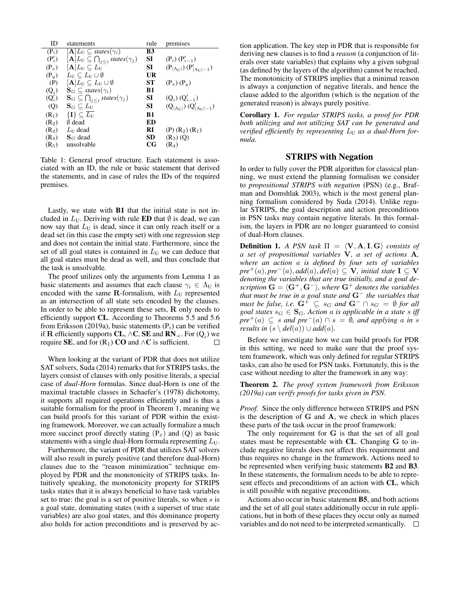| ID                | statements                                                                       | rule        | premises                                                   |
|-------------------|----------------------------------------------------------------------------------|-------------|------------------------------------------------------------|
| $(P_i)$           | $[\mathbf{A}]L_{\mathrm{U}} \subset$ states( $\gamma_i$ )                        | B3          |                                                            |
| $(P'_i)$          | $[\mathbf{A}]L_{\mathrm{U}} \subseteq \bigcap_{j < i} \mathit{states}(\gamma_j)$ | SI          | $(P_i) (P'_{i-1})$                                         |
| $(P_x)$           | $[A L_U \subseteq L_U$                                                           | SI          | $(P_{ \Lambda_{\text{U}} }) (P'_{ \Lambda_{\text{U}} -1})$ |
| $(P_u)$           | $L_U \subseteq L_U \cup \emptyset$                                               | UR          |                                                            |
| (P)               | $[\mathbf{A}]L_{\mathrm{U}} \subseteq L_{\mathrm{U}} \cup \emptyset$             | ST          | $(P_x)(P_y)$                                               |
| $(Q_i)$           | $\mathbf{S}_G \subseteq \textit{states}(\gamma_i)$                               | B1          |                                                            |
| $(Q'_i)$          | $\mathbf{S}_G \subseteq \bigcap_{j \leq i} states(\gamma_j)$                     | SI          | $(Q_i) (Q'_{i-1})$                                         |
| (Q)               | $\mathbf{S}_G \subseteq L_{\mathrm{U}}$                                          | SI          | $(Q_{ \Lambda_{11} }) (Q'_{ \Lambda_{11} -1})$             |
| $(R_1)$           | $\{\mathbf I\}\subseteq \overline{L_{\mathbf U}}$                                | B1          |                                                            |
| (R <sub>2</sub> ) | 0 dead                                                                           | ED          |                                                            |
| $(R_3)$           | $L_{\text{U}}$ dead                                                              | RI          | $(P)$ $(R_2)$ $(R_1)$                                      |
| (R <sub>4</sub> ) | $\mathbf{S}_{G}$ dead                                                            | <b>SD</b>   | $(R_3)(Q)$                                                 |
| $(R_5)$           | unsolvable                                                                       | $_{\rm CG}$ | $(R_4)$                                                    |

Table 1: General proof structure. Each statement is associated with an ID, the rule or basic statement that derived the statements, and in case of rules the IDs of the required premises.

Lastly, we state with B1 that the initial state is not included in  $L_U$ . Deriving with rule **ED** that  $\emptyset$  is dead, we can now say that  $L_U$  is dead, since it can only reach itself or a dead set (in this case the empty set) with one regression step and does not contain the initial state. Furthermore, since the set of all goal states is contained in  $L<sub>U</sub>$  we can deduce that all goal states must be dead as well, and thus conclude that the task is unsolvable.

The proof utilizes only the arguments from Lemma 1 as basic statements and assumes that each clause  $\gamma_i \in \Lambda_U$  is encoded with the same  $\mathbf R$ -formalism, with  $L_U$  represented as an intersection of all state sets encoded by the clauses. In order to be able to represent these sets,  $R$  only needs to efficiently support CL. According to Theorems 5.5 and 5.6 from Eriksson (2019a), basic statements  $(P_i)$  can be verified if **R** efficiently supports **CL**,  $\wedge$ **C**, **SE** and **RN**<sub>≺</sub>. For (Q<sub>i</sub>) we require SE, and for  $(R_1)$  CO and ∧C is sufficient.

When looking at the variant of PDR that does not utilize SAT solvers, Suda (2014) remarks that for STRIPS tasks, the layers consist of clauses with only positive literals, a special case of *dual-Horn* formulas. Since dual-Horn is one of the maximal tractable classes in Schaefer's (1978) dichotomy, it supports all required operations efficiently and is thus a suitable formalism for the proof in Theorem 1, meaning we can build proofs for this variant of PDR within the existing framework. Moreover, we can actually formalize a much more succinct proof directly stating  $(P_x)$  and  $(Q)$  as basic statements with a single dual-Horn formula representing  $L_U$ .

Furthermore, the variant of PDR that utilizes SAT solvers will also result in purely positive (and therefore dual-Horn) clauses due to the "reason minimization" technique employed by PDR and the monotonicity of STRIPS tasks. Intuitively speaking, the monotonicity property for STRIPS tasks states that it is always beneficial to have task variables set to true: the goal is a set of positive literals, so when s is a goal state, dominating states (with a superset of true state variables) are also goal states, and this dominance property also holds for action preconditions and is preserved by action application. The key step in PDR that is responsible for deriving new clauses is to find a *reason* (a conjunction of literals over state variables) that explains why a given subgoal (as defined by the layers of the algorithm) cannot be reached. The monotonicity of STRIPS implies that a minimal reason is always a conjunction of negative literals, and hence the clause added to the algorithm (which is the negation of the generated reason) is always purely positive.

Corollary 1. *For regular STRIPS tasks, a proof for PDR both utilizing and not utilizing SAT can be generated and* verified efficiently by representing  $L_U$  as a dual-Horn for*mula.*

### STRIPS with Negation

In order to fully cover the PDR algorithm for classical planning, we must extend the planning formalism we consider to *propositional STRIPS with negation* (PSN) (e.g., Brafman and Domshlak 2003), which is the most general planning formalism considered by Suda (2014). Unlike regular STRIPS, the goal description and action preconditions in PSN tasks may contain negative literals. In this formalism, the layers in PDR are no longer guaranteed to consist of dual-Horn clauses.

**Definition 1.** *A PSN task*  $\Pi = \langle V, A, I, G \rangle$  *consists of a set of propositional variables* V*, a set of actions* A*, where an action* a *is defined by four sets of variables*  $pre^+(a)$ ,  $pre^-(a)$ , *add* $(a)$ , *del* $(a) \subseteq V$ *, initial state*  $I \subseteq V$ *denoting the variables that are true initially, and a goal description*  $G = \langle G^+, G^- \rangle$ *, where*  $G^+$  *denotes the variables that must be true in a goal state and* G<sup>−</sup> *the variables that must be false, i.e.*  $G^+ \subseteq s_G$  *and*  $G^- \cap s_G = \emptyset$  *for all goal states*  $s_G \in \mathbf{S}_G$ . Action a *is applicable in a state s iff*  $pre^+(a) \subseteq s$  *and pre*<sup>−</sup>(a)  $\cap s = \emptyset$ *, and applying a in s results in*  $(s \ \langle \ del(a) \rangle \cup add(a)$ *.* 

Before we investigate how we can build proofs for PDR in this setting, we need to make sure that the proof system framework, which was only defined for regular STRIPS tasks, can also be used for PSN tasks. Fortunately, this is the case without needing to alter the framework in any way:

Theorem 2. *The proof system framework from Eriksson (2019a) can verify proofs for tasks given in PSN.*

*Proof.* Since the only difference between STRIPS and PSN is the description of  $G$  and  $A$ , we check in which places these parts of the task occur in the proof framework:

The only requirement for G is that the set of all goal states must be representable with CL. Changing G to include negative literals does not affect this requirement and thus requires no change in the framework. Actions need to be represented when verifying basic statements B2 and B3. In these statements, the formalism needs to be able to represent effects and preconditions of an action with CL, which is still possible with negative preconditions.

Actions also occur in basic statement B5, and both actions and the set of all goal states additionally occur in rule applications, but in both of these places they occur only as named variables and do not need to be interpreted semantically.  $\Box$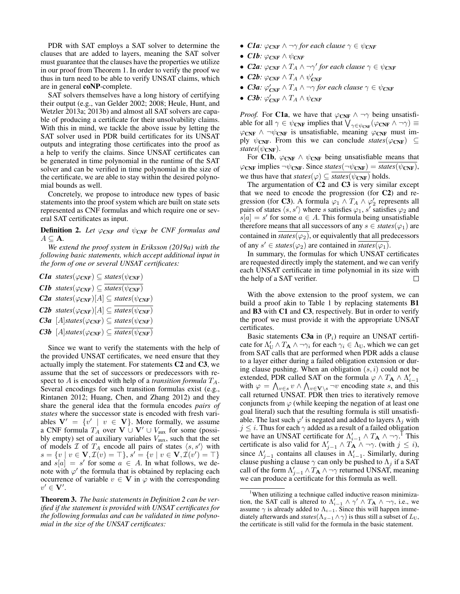PDR with SAT employs a SAT solver to determine the clauses that are added to layers, meaning the SAT solver must guarantee that the clauses have the properties we utilize in our proof from Theorem 1. In order to verify the proof we thus in turn need to be able to verify UNSAT claims, which are in general coNP-complete.

SAT solvers themselves have a long history of certifying their output (e.g., van Gelder 2002; 2008; Heule, Hunt, and Wetzler 2013a; 2013b) and almost all SAT solvers are capable of producing a certificate for their unsolvability claims. With this in mind, we tackle the above issue by letting the SAT solver used in PDR build certificates for its UNSAT outputs and integrating those certificates into the proof as a help to verify the claims. Since UNSAT certificates can be generated in time polynomial in the runtime of the SAT solver and can be verified in time polynomial in the size of the certificate, we are able to stay within the desired polynomial bounds as well.

Concretely, we propose to introduce new types of basic statements into the proof system which are built on state sets represented as CNF formulas and which require one or several SAT certificates as input.

**Definition 2.** Let  $\varphi_{CNF}$  and  $\psi_{CNF}$  be CNF formulas and  $A \subseteq \mathbf{A}$ .

*We extend the proof system in Eriksson (2019a) with the following basic statements, which accept additional input in the form of one or several UNSAT certificates:*

- *C1a states*( $\varphi_{\text{CNF}}$ )  $\subseteq$  *states*( $\psi_{\text{CNF}}$ )
- *C1b states*( $\varphi_{\text{CNF}}$ )  $\subseteq$  *states*( $\psi_{\text{CNF}}$ )
- $C2a$  *states*( $\varphi_{CNF}$ )[A]  $\subseteq$  *states*( $\psi_{CNF}$ )
- *C2b states*( $\varphi_{\text{CNF}}$ )[A]  $\subseteq$  *states*( $\psi_{\text{CNF}}$ )

**C3a** 
$$
[A]
$$
*states* $(\varphi_{CNF}) \subseteq$ *states* $(\psi_{CNF})$ 

 $C3b$  [A]*states*( $\varphi_{CNF}$ )  $\subseteq$  *states*( $\psi_{CNF}$ )

Since we want to verify the statements with the help of the provided UNSAT certificates, we need ensure that they actually imply the statement. For statements C2 and C3, we assume that the set of successors or predecessors with respect to A is encoded with help of a *transition formula*  $T_A$ . Several encodings for such transition formulas exist (e.g., Rintanen 2012; Huang, Chen, and Zhang 2012) and they share the general idea that the formula encodes *pairs of states* where the successor state is encoded with fresh variables  $V' = \{v' \mid v \in V\}$ . More formally, we assume a CNF formula  $T_A$  over  $V \cup V' \cup V_{aux}$  for some (possibly empty) set of auxiliary variables  $V_{\text{aux}}$ , such that the set of models  $\mathcal I$  of  $T_A$  encode all pairs of states  $\langle s, s' \rangle$  with  $s = \{v \mid v \in \mathbf{V}, \mathcal{I}(v) = \top\}, s' = \{v \mid v \in \mathbf{V}, \mathcal{I}(v') = \top\}$ and  $s[a] = s'$  for some  $a \in A$ . In what follows, we denote with  $\varphi'$  the formula that is obtained by replacing each occurrence of variable  $v \in V$  in  $\varphi$  with the corresponding  $v' \in V'.$ 

Theorem 3. *The basic statements in Definition 2 can be verified if the statement is provided with UNSAT certificates for the following formulas and can be validated in time polynomial in the size of the UNSAT certificates:*

- *Cla:*  $\varphi_{CNF} \wedge \neg \gamma$  *for each clause*  $\gamma \in \psi_{CNF}$
- *C1b*:  $\varphi_{CNF} \wedge \psi_{CNF}$
- *C2a:*  $\varphi_{CNF} \wedge T_A \wedge \neg \gamma'$  for each clause  $\gamma \in \psi_{CNF}$
- *C2b:*  $\varphi_{CNF} \wedge T_A \wedge \psi_{CNF}'$
- *C3a:*  $\varphi_{CNF}' \wedge T_A \wedge \neg \gamma$  for each clause  $\gamma \in \psi_{CNF}$
- *C3b:*  $\varphi_{\text{CNF}}' \wedge T_A \wedge \psi_{\text{CNF}}$

*Proof.* For **C1a**, we have that  $\varphi_{CNF} \wedge \neg \gamma$  being unsatisfiable for all  $\gamma \in \psi_{\text{CNF}}$  implies that  $\bigvee_{\gamma \in \psi_{\text{CNF}}} (\varphi_{\text{CNF}} \wedge \neg \gamma) \equiv$  $\varphi_{\text{CNF}} \wedge \neg \psi_{\text{CNF}}$  is unsatisfiable, meaning  $\varphi_{\text{CNF}}$  must imply  $\psi_{\text{CNF}}$ . From this we can conclude *states*( $\varphi_{\text{CNF}}$ ) ⊆ *states*( $\psi_{\text{CNF}}$ ).

For C1b,  $\varphi_{CNF} \wedge \psi_{CNF}$  being unsatisfiable means that  $\varphi_{\text{CNF}}$  implies  $\neg \psi_{\text{CNF}}$ . Since *states*( $\neg \psi_{\text{CNF}}$ ) = *states*( $\psi_{\text{CNF}}$ ), we thus have that  $states(\varphi) \subseteq states(\psi_{\text{CNF}})$  holds.

The argumentation of C2 and C3 is very similar except that we need to encode the progression (for C2) and regression (for **C3**). A formula  $\varphi_1 \wedge T_A \wedge \varphi_2'$  represents all pairs of states  $\langle s, s' \rangle$  where s satisfies  $\varphi_1, s'$  satisfies  $\varphi_2$  and  $s[a] = s'$  for some  $a \in A$ . This formula being unsatisfiable therefore means that all successors of any  $s \in \text{states}(\varphi_1)$  are contained in  $states(\varphi_2)$ , or equivalently that all predecessors of any  $s' \in \text{states}(\varphi_2)$  are contained in  $\overline{\text{states}(\varphi_1)}$ .

In summary, the formulas for which UNSAT certificates are requested directly imply the statement, and we can verify each UNSAT certificate in time polynomial in its size with the help of a SAT verifier. П

With the above extension to the proof system, we can build a proof akin to Table 1 by replacing statements B1 and B3 with C1 and C3, respectively. But in order to verify the proof we must provide it with the appropriate UNSAT certificates.

Basic statements  $C3a$  in  $(P_i)$  require an UNSAT certificate for  $\Lambda_U' \wedge T_A \wedge \neg \gamma_i$  for each  $\gamma_i \in \Lambda_U$ , which we can get from SAT calls that are performed when PDR adds a clause to a layer either during a failed obligation extension or during clause pushing. When an obligation  $(s, i)$  could not be extended, PDR called SAT on the formula  $\varphi \wedge T_A \wedge \Lambda_{i-1}'$ with  $\varphi = \bigwedge_{v \in s} v \wedge \bigwedge_{v \in \mathbf{V} \setminus s} \neg v$  encoding state s, and this call returned UNSAT. PDR then tries to iteratively remove conjuncts from  $\varphi$  (while keeping the negation of at least one goal literal) such that the resulting formula is still unsatisfiable. The last such  $\varphi'$  is negated and added to layers  $\Lambda_j$  with  $j \leq i$ . Thus for each  $\gamma$  added as a result of a failed obligation we have an UNSAT certificate for  $\Lambda_{i-1}' \wedge T_{\mathbf{A}} \wedge \neg \gamma$ .<sup>I</sup> This certificate is also valid for  $\Lambda'_{j-1} \wedge T_{\mathbf{A}} \wedge \neg \gamma$ . (with  $j \leq i$ ), since  $\Lambda'_{j-1}$  contains all clauses in  $\Lambda'_{i-1}$ . Similarly, during clause pushing a clause  $\gamma$  can only be pushed to  $\Lambda_i$  if a SAT call of the form  $\Lambda'_{j-1} \wedge T_{\mathbf{A}} \wedge \neg \gamma$  returned UNSAT, meaning we can produce a certificate for this formula as well.

<sup>&</sup>lt;sup>1</sup>When utilizing a technique called inductive reason minimization, the SAT call is altered to  $\Lambda_{i-1}' \wedge \gamma' \wedge T_A \wedge \neg \gamma$ , i.e., we assume  $\gamma$  is already added to  $\Lambda_{i-1}$ . Since this will happen immediately afterwards and *states*( $\Lambda_{x-1} \wedge \gamma$ ) is thus still a subset of  $L_{\text{U}}$ , the certificate is still valid for the formula in the basic statement.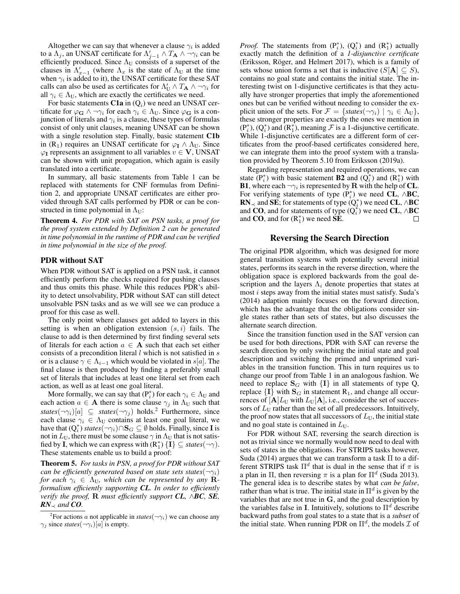Altogether we can say that whenever a clause  $\gamma_i$  is added to a  $\Lambda_j$ , an UNSAT certificate for  $\Lambda'_{j-1} \wedge T_{\mathbf{A}} \wedge \neg \gamma_i$  can be efficiently produced. Since  $\Lambda_U$  consists of a superset of the clauses in  $\Lambda'_{x-1}$  (where  $\Lambda_x$  is the state of  $\Lambda_{\text{U}}$  at the time when  $\gamma_i$  is added to it), the UNSAT certificate for these SAT calls can also be used as certificates for  $\Lambda'_U \wedge T_A \wedge \neg \gamma_i$  for all  $\gamma_i \in \Lambda_U$ , which are exactly the certificates we need.

For basic statements  $C1a$  in  $(Q_i)$  we need an UNSAT certificate for  $\varphi_{\mathbf{G}} \wedge \neg \gamma_i$  for each  $\gamma_i \in \Lambda_U$ . Since  $\varphi_{\mathbf{G}}$  is a conjunction of literals and  $\gamma_i$  is a clause, these types of formulas consist of only unit clauses, meaning UNSAT can be shown with a single resolution step. Finally, basic statement C1b in (R<sub>1</sub>) requires an UNSAT certificate for  $\varphi_I \wedge \Lambda_U$ . Since  $\varphi$ <sub>I</sub> represents an assignment to all variables  $v \in V$ , UNSAT can be shown with unit propagation, which again is easily translated into a certificate.

In summary, all basic statements from Table 1 can be replaced with statements for CNF formulas from Definition 2, and appropriate UNSAT certificates are either provided through SAT calls performed by PDR or can be constructed in time polynomial in  $\Lambda_{\text{U}}$ :

Theorem 4. *For PDR with SAT on PSN tasks, a proof for the proof system extended by Definition 2 can be generated in time polynomial in the runtime of PDR and can be verified in time polynomial in the size of the proof.*

#### PDR without SAT

When PDR without SAT is applied on a PSN task, it cannot efficiently perform the checks required for pushing clauses and thus omits this phase. While this reduces PDR's ability to detect unsolvability, PDR without SAT can still detect unsolvable PSN tasks and as we will see we can produce a proof for this case as well.

The only point where clauses get added to layers in this setting is when an obligation extension  $(s, i)$  fails. The clause to add is then determined by first finding several sets of literals for each action  $a \in A$  such that each set either consists of a precondition literal  $l$  which is not satisfied in  $s$ or is a clause  $\gamma \in \Lambda_{i-1}$  which would be violated in s[a]. The final clause is then produced by finding a preferably small set of literals that includes at least one literal set from each action, as well as at least one goal literal.

More formally, we can say that  $(P_i^*)$  for each  $\gamma_i \in \Lambda_U$  and each action  $a \in A$  there is some clause  $\gamma_i$  in  $\Lambda_U$  such that *states*( $\neg \gamma_i$ )[a]  $\subseteq$  *states*( $\neg \gamma_j$ ) holds.<sup>2</sup> Furthermore, since each clause  $\gamma_i \in \Lambda_U$  contains at least one goal literal, we have that  $(Q_i^*)$  *states* $(\neg \gamma_i) \cap S_G \subseteq \emptyset$  holds. Finally, since **I** is not in  $L_U$ , there must be some clause  $\gamma$  in  $\Lambda_U$  that is not satisfied by **I**, which we can express with  $(R_1^*) \{I\} \subseteq \text{states}(\neg \gamma)$ . These statements enable us to build a proof:

Theorem 5. *For tasks in PSN, a proof for PDR without SAT can be efficiently generated based on state sets states*( $\neg \gamma_i$ ) *for each*  $\gamma_i \in \Lambda_U$ , which can be represented by any **R***formalism efficiently supporting CL. In order to efficiently verify the proof,* R *must efficiently support CL,* ∧*BC, SE,*  $RN_{\prec}$  *and CO.* 

*Proof.* The statements from  $(P_i^*), (Q_i^*)$  and  $(R_1^*)$  actually exactly match the definition of a *1-disjunctive certificate* (Eriksson, Röger, and Helmert 2017), which is a family of sets whose union forms a set that is inductive  $(S[A] \subseteq S)$ , contains no goal state and contains the initial state. The interesting twist on 1-disjunctive certificates is that they actually have stronger properties that imply the aforementioned ones but can be verified without needing to consider the explicit union of the sets. For  $\mathcal{F} = \{states(\neg \gamma_i) \mid \gamma_i \in \Lambda_U\},\$ these stronger properties are exactly the ones we mention in  $(P_i^*), (Q_i^*)$  and  $(R_1^*)$ , meaning  $\mathcal F$  is a 1-disjunctive certificate. While 1-disjunctive certificates are a different form of certificates from the proof-based certificates considered here, we can integrate them into the proof system with a translation provided by Theorem 5.10 from Eriksson (2019a).

Regarding representation and required operations, we can state  $(P_i^*)$  with basic statement **B2** and  $(Q_i^*)$  and  $(R_1^*)$  with **B1**, where each  $\neg \gamma_i$  is represented by **R** with the help of **CL**. For verifying statements of type  $(P_i^*)$  we need CL,  $\wedge$ BC, **RN**<sub> $\prec$ </sub> and **SE**; for statements of type  $(Q_i^*)$  we need **CL**,  $\land$ **BC** and CO, and for statements of type  $(Q_i^*)$  we need CL,  $\wedge$ BC and CO, and for  $(R_1^*)$  we need  $\dot{\text{SE}}$ .  $\Box$ 

#### Reversing the Search Direction

The original PDR algorithm, which was designed for more general transition systems with potentially several initial states, performs its search in the reverse direction, where the obligation space is explored backwards from the goal description and the layers  $\Lambda_i$  denote properties that states at most i steps away from the initial states must satisfy. Suda's (2014) adaption mainly focuses on the forward direction, which has the advantage that the obligations consider single states rather than sets of states, but also discusses the alternate search direction.

Since the transition function used in the SAT version can be used for both directions, PDR with SAT can reverse the search direction by only switching the initial state and goal description and switching the primed and unprimed variables in the transition function. This in turn requires us to change our proof from Table 1 in an analogous fashion. We need to replace  $S_G$  with  $\{I\}$  in all statements of type Q, replace  $\{I\}$  with  $S_G$  in statement  $R_1$ , and change all occurrences of  $[A]L_U$  with  $L_U[A]$ , i.e., consider the set of successors of  $L_U$  rather than the set of all predecessors. Intuitively, the proof now states that all successors of  $L_{\rm U}$ , the initial state and no goal state is contained in  $L_{\text{U}}$ .

For PDR without SAT, reversing the search direction is not as trivial since we normally would now need to deal with sets of states in the obligations. For STRIPS tasks however, Suda (2014) argues that we can transform a task Π to a different STRIPS task  $\Pi^d$  that is dual in the sense that if  $\pi$  is a plan in  $\Pi$ , then reversing  $\pi$  is a plan for  $\Pi^d$  (Suda 2013). The general idea is to describe states by what *can be false*, rather than what is true. The initial state in  $\Pi^d$  is given by the variables that are not true in  $G$ , and the goal description by the variables false in I. Intuitively, solutions to  $\Pi^d$  describe backward paths from goal states to a state that is a *subset* of the initial state. When running PDR on  $\Pi^d$ , the models  $\mathcal I$  of

<sup>&</sup>lt;sup>2</sup>For actions *a* not applicable in *states*( $\neg \gamma_i$ ) we can choose any  $\gamma_i$  since *states*( $\neg \gamma_i$ )[a] is empty.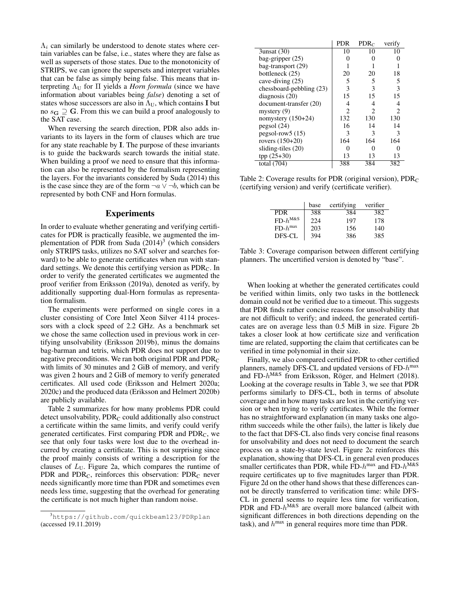$\Lambda_i$  can similarly be understood to denote states where certain variables can be false, i.e., states where they are false as well as supersets of those states. Due to the monotonicity of STRIPS, we can ignore the supersets and interpret variables that can be false as simply being false. This means that interpreting  $\Lambda_{\text{U}}$  for  $\Pi$  yields a *Horn formula* (since we have information about variables being *false*) denoting a set of states whose successors are also in  $\Lambda_U$ , which contains I but no  $s_{\mathbf{G}} \supseteq \mathbf{G}$ . From this we can build a proof analogously to the SAT case.

When reversing the search direction, PDR also adds invariants to its layers in the form of clauses which are true for any state reachable by I. The purpose of these invariants is to guide the backwards search towards the initial state. When building a proof we need to ensure that this information can also be represented by the formalism representing the layers. For the invariants considered by Suda (2014) this is the case since they are of the form  $\neg a \lor \neg b$ , which can be represented by both CNF and Horn formulas.

#### Experiments

In order to evaluate whether generating and verifying certificates for PDR is practically feasible, we augmented the implementation of PDR from Suda  $(2014)^3$  (which considers only STRIPS tasks, utilizes no SAT solver and searches forward) to be able to generate certificates when run with standard settings. We denote this certifying version as  $PDR<sub>C</sub>$ . In order to verify the generated certificates we augmented the proof verifier from Eriksson (2019a), denoted as verify, by additionally supporting dual-Horn formulas as representation formalism.

The experiments were performed on single cores in a cluster consisting of Core Intel Xeon Silver 4114 processors with a clock speed of 2.2 GHz. As a benchmark set we chose the same collection used in previous work in certifying unsolvability (Eriksson 2019b), minus the domains bag-barman and tetris, which PDR does not support due to negative preconditions. We ran both original PDR and PDR<sub>C</sub> with limits of 30 minutes and 2 GiB of memory, and verify was given 2 hours and 2 GiB of memory to verify generated certificates. All used code (Eriksson and Helmert 2020a; 2020c) and the produced data (Eriksson and Helmert 2020b) are publicly available.

Table 2 summarizes for how many problems PDR could detect unsolvability,  $PDR_C$  could additionally also construct a certificate within the same limits, and verify could verify generated certificates. First comparing PDR and  $PDR<sub>C</sub>$ , we see that only four tasks were lost due to the overhead incurred by creating a certificate. This is not surprising since the proof mainly consists of writing a description for the clauses of  $L_U$ . Figure 2a, which compares the runtime of PDR and  $PDR<sub>C</sub>$ , reinforces this observation:  $PDR<sub>C</sub>$  never needs significantly more time than PDR and sometimes even needs less time, suggesting that the overhead for generating the certificate is not much higher than random noise.

|                                 | <b>PDR</b> | PDRC                        | verify                      |
|---------------------------------|------------|-----------------------------|-----------------------------|
| $3$ unsat $(30)$                | 10         | 10                          | 10                          |
| bag-gripper $(25)$              |            |                             |                             |
| bag-transport (29)              |            |                             |                             |
| bottleneck (25)                 | 20         | 20                          | 18                          |
| cave-diving (25)                | 5          | 5                           | 5                           |
| chessboard-pebbling $(23)$      | 3          | 3                           | 3                           |
| diagnosis $(20)$                | 15         | 15                          | 15                          |
| document-transfer (20)          | 4          | 4                           | 4                           |
| mystery $(9)$                   | 2          | $\mathcal{D}_{\mathcal{A}}$ | $\mathcal{D}_{\mathcal{A}}$ |
| nomystery $(150+24)$            | 132        | 130                         | 130                         |
| pegsol(24)                      | 16         | 14                          | 14                          |
| $pegsol-row5(15)$               | 3          | 3                           | 3                           |
| rovers (150+20)                 | 164        | 164                         | 164                         |
| sliding-tiles (20)              | 0          |                             |                             |
| $tpp(25+30)$                    | 13         | 13                          | 13                          |
| $\overline{\text{total}}$ (704) | 388        | 384                         | 382                         |

Table 2: Coverage results for PDR (original version),  $PDR<sub>C</sub>$ (certifying version) and verify (certificate verifier).

|              | base | certifying | verifier |
|--------------|------|------------|----------|
| <b>PDR</b>   | 388  | 384        | 382      |
| $FD-h^{M&S}$ | 224  | 197        | 178      |
| $FD-h^{max}$ | 203  | 156        | 140      |
| DFS-CL       | 394  | 386        | 385      |

Table 3: Coverage comparison between different certifying planners. The uncertified version is denoted by "base".

When looking at whether the generated certificates could be verified within limits, only two tasks in the bottleneck domain could not be verified due to a timeout. This suggests that PDR finds rather concise reasons for unsolvability that are not difficult to verify; and indeed, the generated certificates are on average less than 0.5 MiB in size. Figure 2b takes a closer look at how certificate size and verification time are related, supporting the claim that certificates can be verified in time polynomial in their size.

Finally, we also compared certified PDR to other certified planners, namely DFS-CL and updated versions of  $FD$ - $h^{\text{max}}$ and FD- $h^{\text{M&S}}$  from Eriksson, Röger, and Helmert (2018). Looking at the coverage results in Table 3, we see that PDR performs similarly to DFS-CL, both in terms of absolute coverage and in how many tasks are lost in the certifying version or when trying to verify certificates. While the former has no straightforward explanation (in many tasks one algorithm succeeds while the other fails), the latter is likely due to the fact that DFS-CL also finds very concise final reasons for unsolvability and does not need to document the search process on a state-by-state level. Figure 2c reinforces this explanation, showing that DFS-CL in general even produces smaller certificates than PDR, while FD- $h^{\text{max}}$  and FD- $h^{\text{M&S}}$ require certificates up to five magnitudes larger than PDR. Figure 2d on the other hand shows that these differences cannot be directly transferred to verification time: while DFS-CL in general seems to require less time for verification, PDR and FD- $h^{M\&S}$  are overall more balanced (albeit with significant differences in both directions depending on the task), and  $h^{\text{max}}$  in general requires more time than PDR.

<sup>3</sup>https://github.com/quickbeam123/PDRplan (accessed 19.11.2019)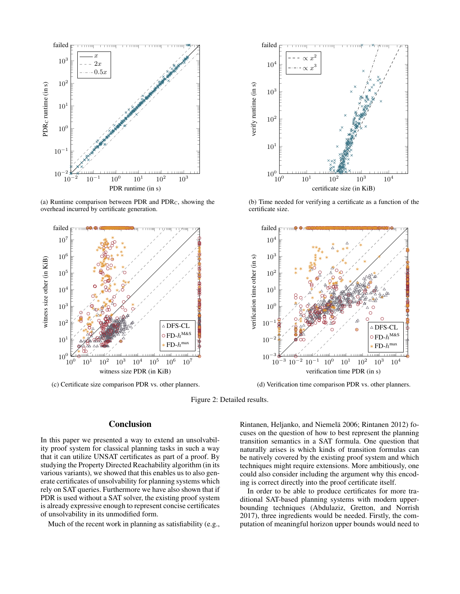

(a) Runtime comparison between PDR and  $PDR<sub>C</sub>$ , showing the overhead incurred by certificate generation.



(c) Certificate size comparison PDR vs. other planners.



# Conclusion

In this paper we presented a way to extend an unsolvability proof system for classical planning tasks in such a way that it can utilize UNSAT certificates as part of a proof. By studying the Property Directed Reachability algorithm (in its various variants), we showed that this enables us to also generate certificates of unsolvability for planning systems which rely on SAT queries. Furthermore we have also shown that if PDR is used without a SAT solver, the existing proof system is already expressive enough to represent concise certificates of unsolvability in its unmodified form.

Much of the recent work in planning as satisfiability (e.g.,



(b) Time needed for verifying a certificate as a function of the certificate size.



(d) Verification time comparison PDR vs. other planners.

Figure 2: Detailed results.

Rintanen, Heljanko, and Niemelä 2006; Rintanen 2012) focuses on the question of how to best represent the planning transition semantics in a SAT formula. One question that naturally arises is which kinds of transition formulas can be natively covered by the existing proof system and which techniques might require extensions. More ambitiously, one could also consider including the argument why this encoding is correct directly into the proof certificate itself.

In order to be able to produce certificates for more traditional SAT-based planning systems with modern upperbounding techniques (Abdulaziz, Gretton, and Norrish 2017), three ingredients would be needed. Firstly, the computation of meaningful horizon upper bounds would need to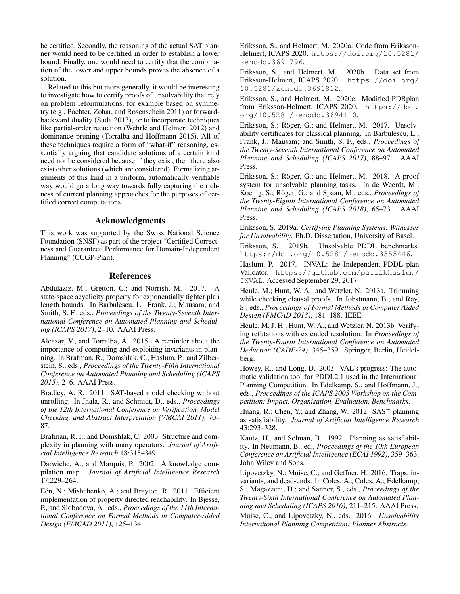be certified. Secondly, the reasoning of the actual SAT planner would need to be certified in order to establish a lower bound. Finally, one would need to certify that the combination of the lower and upper bounds proves the absence of a solution.

Related to this but more generally, it would be interesting to investigate how to certify proofs of unsolvability that rely on problem reformulations, for example based on symmetry (e.g., Pochter, Zohar, and Rosenschein 2011) or forwardbackward duality (Suda 2013), or to incorporate techniques like partial-order reduction (Wehrle and Helmert 2012) and dominance pruning (Torralba and Hoffmann 2015). All of these techniques require a form of "what-if" reasoning, essentially arguing that candidate solutions of a certain kind need not be considered because if they exist, then there also exist other solutions (which are considered). Formalizing arguments of this kind in a uniform, automatically verifiable way would go a long way towards fully capturing the richness of current planning approaches for the purposes of certified correct computations.

### Acknowledgments

This work was supported by the Swiss National Science Foundation (SNSF) as part of the project "Certified Correctness and Guaranteed Performance for Domain-Independent Planning" (CCGP-Plan).

# References

Abdulaziz, M.; Gretton, C.; and Norrish, M. 2017. A state-space acyclicity property for exponentially tighter plan length bounds. In Barbulescu, L.; Frank, J.; Mausam; and Smith, S. F., eds., *Proceedings of the Twenty-Seventh International Conference on Automated Planning and Scheduling (ICAPS 2017)*, 2–10. AAAI Press.

Alcázar, V., and Torralba, Á. 2015. A reminder about the importance of computing and exploiting invariants in planning. In Brafman, R.; Domshlak, C.; Haslum, P.; and Zilberstein, S., eds., *Proceedings of the Twenty-Fifth International Conference on Automated Planning and Scheduling (ICAPS 2015)*, 2–6. AAAI Press.

Bradley, A. R. 2011. SAT-based model checking without unrolling. In Jhala, R., and Schmidt, D., eds., *Proceedings of the 12th International Conference on Verification, Model Checking, and Abstract Interpretation (VMCAI 2011)*, 70– 87.

Brafman, R. I., and Domshlak, C. 2003. Structure and complexity in planning with unary operators. *Journal of Artificial Intelligence Research* 18:315–349.

Darwiche, A., and Marquis, P. 2002. A knowledge compilation map. *Journal of Artificial Intelligence Research* 17:229–264.

Eén, N.; Mishchenko, A.; and Brayton, R. 2011. Efficient implementation of property directed reachability. In Bjesse, P., and Slobodova, A., eds., *Proceedings of the 11th International Conference on Formal Methods in Computer-Aided Design (FMCAD 2011)*, 125–134.

Eriksson, S., and Helmert, M. 2020a. Code from Eriksson-Helmert, ICAPS 2020. https://doi.org/10.5281/ zenodo.3691796.

Eriksson, S., and Helmert, M. 2020b. Data set from Eriksson-Helmert, ICAPS 2020. https://doi.org/ 10.5281/zenodo.3691812.

Eriksson, S., and Helmert, M. 2020c. Modified PDRplan from Eriksson-Helmert, ICAPS 2020. https://doi. org/10.5281/zenodo.3694110.

Eriksson, S.; Röger, G.; and Helmert, M. 2017. Unsolvability certificates for classical planning. In Barbulescu, L.; Frank, J.; Mausam; and Smith, S. F., eds., *Proceedings of the Twenty-Seventh International Conference on Automated Planning and Scheduling (ICAPS 2017)*, 88–97. AAAI Press.

Eriksson, S.; Röger, G.; and Helmert, M. 2018. A proof system for unsolvable planning tasks. In de Weerdt, M.; Koenig, S.; Röger, G.; and Spaan, M., eds., Proceedings of *the Twenty-Eighth International Conference on Automated Planning and Scheduling (ICAPS 2018)*, 65–73. AAAI Press.

Eriksson, S. 2019a. *Certifying Planning Systems: Witnesses for Unsolvability*. Ph.D. Dissertation, University of Basel.

Eriksson, S. 2019b. Unsolvable PDDL benchmarks. https://doi.org/10.5281/zenodo.3355446.

Haslum, P. 2017. INVAL: the Independent PDDL plan Validator. https://github.com/patrikhaslum/ INVAL. Accessed September 29, 2017.

Heule, M.; Hunt, W. A.; and Wetzler, N. 2013a. Trimming while checking clausal proofs. In Jobstmann, B., and Ray, S., eds., *Proceedings of Formal Methods in Computer Aided Design (FMCAD 2013)*, 181–188. IEEE.

Heule, M. J. H.; Hunt, W. A.; and Wetzler, N. 2013b. Verifying refutations with extended resolution. In *Proceedings of the Twenty-Fourth International Conference on Automated Deduction (CADE-24)*, 345–359. Springer, Berlin, Heidelberg.

Howey, R., and Long, D. 2003. VAL's progress: The automatic validation tool for PDDL2.1 used in the International Planning Competition. In Edelkamp, S., and Hoffmann, J., eds., *Proceedings of the ICAPS 2003 Workshop on the Competition: Impact, Organisation, Evaluation, Benchmarks*.

Huang, R.; Chen, Y.; and Zhang, W. 2012.  $SAS^+$  planning as satisfiability. *Journal of Artificial Intelligence Research* 43:293–328.

Kautz, H., and Selman, B. 1992. Planning as satisfiability. In Neumann, B., ed., *Proceedings of the 10th European Conference on Artificial Intelligence (ECAI 1992)*, 359–363. John Wiley and Sons.

Lipovetzky, N.; Muise, C.; and Geffner, H. 2016. Traps, invariants, and dead-ends. In Coles, A.; Coles, A.; Edelkamp, S.; Magazzeni, D.; and Sanner, S., eds., *Proceedings of the Twenty-Sixth International Conference on Automated Planning and Scheduling (ICAPS 2016)*, 211–215. AAAI Press.

Muise, C., and Lipovetzky, N., eds. 2016. *Unsolvability International Planning Competition: Planner Abstracts*.